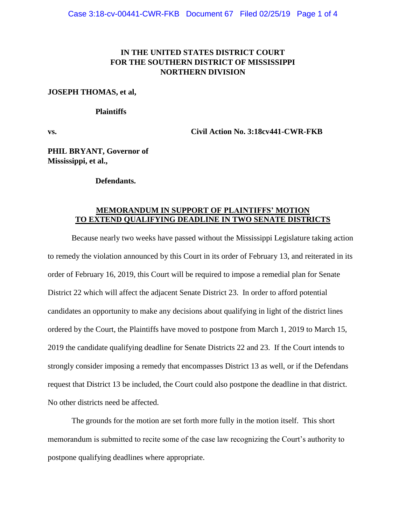## **IN THE UNITED STATES DISTRICT COURT FOR THE SOUTHERN DISTRICT OF MISSISSIPPI NORTHERN DIVISION**

## **JOSEPH THOMAS, et al,**

## **Plaintiffs**

**vs. Civil Action No. 3:18cv441-CWR-FKB**

**PHIL BRYANT, Governor of Mississippi, et al.,**

## **Defendants.**

## **MEMORANDUM IN SUPPORT OF PLAINTIFFS' MOTION TO EXTEND QUALIFYING DEADLINE IN TWO SENATE DISTRICTS**

Because nearly two weeks have passed without the Mississippi Legislature taking action to remedy the violation announced by this Court in its order of February 13, and reiterated in its order of February 16, 2019, this Court will be required to impose a remedial plan for Senate District 22 which will affect the adjacent Senate District 23. In order to afford potential candidates an opportunity to make any decisions about qualifying in light of the district lines ordered by the Court, the Plaintiffs have moved to postpone from March 1, 2019 to March 15, 2019 the candidate qualifying deadline for Senate Districts 22 and 23. If the Court intends to strongly consider imposing a remedy that encompasses District 13 as well, or if the Defendans request that District 13 be included, the Court could also postpone the deadline in that district. No other districts need be affected.

The grounds for the motion are set forth more fully in the motion itself. This short memorandum is submitted to recite some of the case law recognizing the Court's authority to postpone qualifying deadlines where appropriate.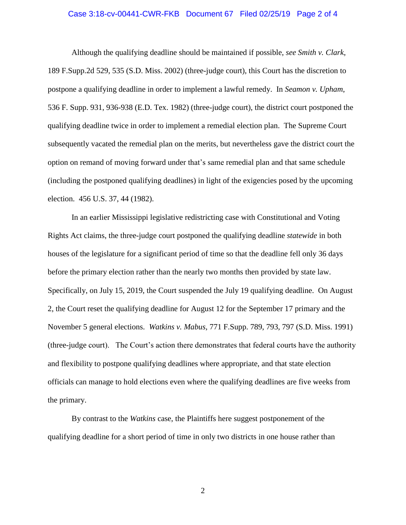#### Case 3:18-cv-00441-CWR-FKB Document 67 Filed 02/25/19 Page 2 of 4

Although the qualifying deadline should be maintained if possible, *see Smith v. Clark*, 189 F.Supp.2d 529, 535 (S.D. Miss. 2002) (three-judge court), this Court has the discretion to postpone a qualifying deadline in order to implement a lawful remedy. In *Seamon v. Upham*, 536 F. Supp. 931, 936-938 (E.D. Tex. 1982) (three-judge court), the district court postponed the qualifying deadline twice in order to implement a remedial election plan. The Supreme Court subsequently vacated the remedial plan on the merits, but nevertheless gave the district court the option on remand of moving forward under that's same remedial plan and that same schedule (including the postponed qualifying deadlines) in light of the exigencies posed by the upcoming election. 456 U.S. 37, 44 (1982).

In an earlier Mississippi legislative redistricting case with Constitutional and Voting Rights Act claims, the three-judge court postponed the qualifying deadline *statewide* in both houses of the legislature for a significant period of time so that the deadline fell only 36 days before the primary election rather than the nearly two months then provided by state law. Specifically, on July 15, 2019, the Court suspended the July 19 qualifying deadline. On August 2, the Court reset the qualifying deadline for August 12 for the September 17 primary and the November 5 general elections. *Watkins v. Mabus,* 771 F.Supp. 789, 793, 797 (S.D. Miss. 1991) (three-judge court). The Court's action there demonstrates that federal courts have the authority and flexibility to postpone qualifying deadlines where appropriate, and that state election officials can manage to hold elections even where the qualifying deadlines are five weeks from the primary.

By contrast to the *Watkins* case, the Plaintiffs here suggest postponement of the qualifying deadline for a short period of time in only two districts in one house rather than

2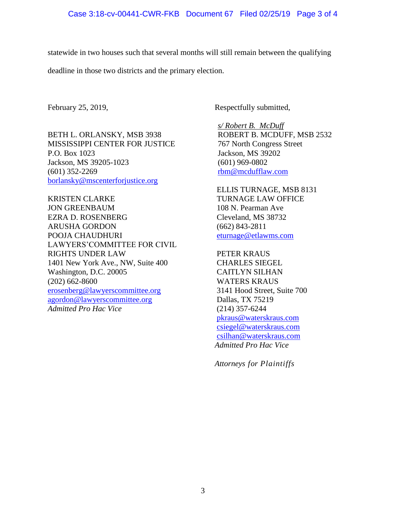statewide in two houses such that several months will still remain between the qualifying

deadline in those two districts and the primary election.

BETH L. ORLANSKY, MSB 3938 MISSISSIPPI CENTER FOR JUSTICE P.O. Box 1023 Jackson, MS 39205-1023 (601) 352-2269 [borlansky@mscenterforjustice.org](mailto:borlansky@mscenterforjustice.org)

KRISTEN CLARKE JON GREENBAUM EZRA D. ROSENBERG ARUSHA GORDON POOJA CHAUDHURI LAWYERS'COMMITTEE FOR CIVIL RIGHTS UNDER LAW 1401 New York Ave., NW, Suite 400 Washington, D.C. 20005 (202) 662-8600 [erosenberg@lawyerscommittee.org](mailto:erosenberg@lawyerscommittee.org) [agordon@lawyerscommittee.org](mailto:agordon@lawyerscommittee.org) *Admitted Pro Hac Vice*

February 25, 2019, Respectfully submitted,

*s/ Robert B. McDuff* ROBERT B. MCDUFF, MSB 2532 767 North Congress Street Jackson, MS 39202 (601) 969-0802 [rbm@mcdufflaw.com](mailto:rbm@mcdufflaw.com)

ELLIS TURNAGE, MSB 8131 TURNAGE LAW OFFICE 108 N. Pearman Ave Cleveland, MS 38732 (662) 843-2811 [eturnage@etlawms.com](mailto:eturnage@etlawms.com)

PETER KRAUS CHARLES SIEGEL CAITLYN SILHAN WATERS KRAUS 3141 Hood Street, Suite 700 Dallas, TX 75219 (214) 357-6244 [pkraus@waterskraus.com](mailto:pkraus@waterskraus.com) [csiegel@waterskraus.com](mailto:csiegel@waterskraus.com) [csilhan@waterskraus.com](mailto:csilhan@waterskraus.com) *Admitted Pro Hac Vice*

*Attorneys for Plaintiffs*